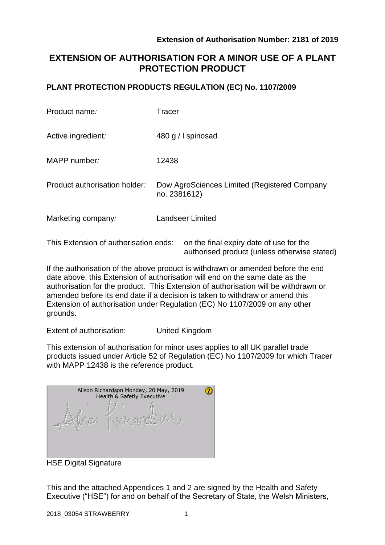authorised product (unless otherwise stated)

# **EXTENSION OF AUTHORISATION FOR A MINOR USE OF A PLANT PROTECTION PRODUCT**

## **PLANT PROTECTION PRODUCTS REGULATION (EC) No. 1107/2009**

| Product name:                         | <b>Tracer</b>                                                |  |  |  |  |  |
|---------------------------------------|--------------------------------------------------------------|--|--|--|--|--|
| Active ingredient:                    | 480 g / I spinosad                                           |  |  |  |  |  |
| MAPP number:                          | 12438                                                        |  |  |  |  |  |
| Product authorisation holder:         | Dow AgroSciences Limited (Registered Company<br>no. 2381612) |  |  |  |  |  |
| Marketing company:                    | <b>Landseer Limited</b>                                      |  |  |  |  |  |
| This Extension of authorisation ends: | on the final expiry date of use for the                      |  |  |  |  |  |

If the authorisation of the above product is withdrawn or amended before the end date above, this Extension of authorisation will end on the same date as the authorisation for the product. This Extension of authorisation will be withdrawn or amended before its end date if a decision is taken to withdraw or amend this Extension of authorisation under Regulation (EC) No 1107/2009 on any other grounds.

Extent of authorisation: United Kingdom

This extension of authorisation for minor uses applies to all UK parallel trade products issued under Article 52 of Regulation (EC) No 1107/2009 for which Tracer with MAPP 12438 is the reference product.

| Alison Richardson Monday, 20 May, 2019<br>Health & Safetly Executive |  |  |  |  |  |  |
|----------------------------------------------------------------------|--|--|--|--|--|--|
|                                                                      |  |  |  |  |  |  |

HSE Digital Signature

This and the attached Appendices 1 and 2 are signed by the Health and Safety Executive ("HSE") for and on behalf of the Secretary of State, the Welsh Ministers,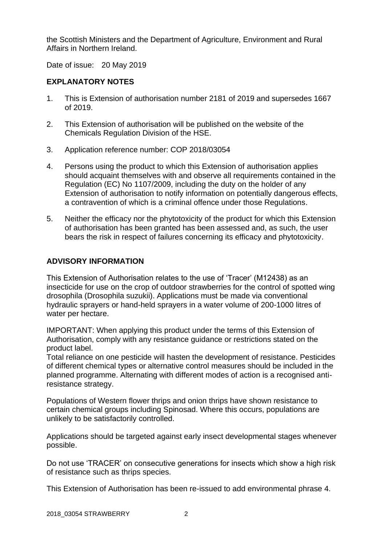the Scottish Ministers and the Department of Agriculture, Environment and Rural Affairs in Northern Ireland.

Date of issue: 20 May 2019

## **EXPLANATORY NOTES**

- 1. This is Extension of authorisation number 2181 of 2019 and supersedes 1667 of 2019.
- 2. This Extension of authorisation will be published on the website of the Chemicals Regulation Division of the HSE.
- 3. Application reference number: COP 2018/03054
- 4. Persons using the product to which this Extension of authorisation applies should acquaint themselves with and observe all requirements contained in the Regulation (EC) No 1107/2009, including the duty on the holder of any Extension of authorisation to notify information on potentially dangerous effects, a contravention of which is a criminal offence under those Regulations.
- 5. Neither the efficacy nor the phytotoxicity of the product for which this Extension of authorisation has been granted has been assessed and, as such, the user bears the risk in respect of failures concerning its efficacy and phytotoxicity.

## **ADVISORY INFORMATION**

This Extension of Authorisation relates to the use of 'Tracer' (M12438) as an insecticide for use on the crop of outdoor strawberries for the control of spotted wing drosophila (Drosophila suzukii). Applications must be made via conventional hydraulic sprayers or hand-held sprayers in a water volume of 200-1000 litres of water per hectare.

IMPORTANT: When applying this product under the terms of this Extension of Authorisation, comply with any resistance guidance or restrictions stated on the product label.

Total reliance on one pesticide will hasten the development of resistance. Pesticides of different chemical types or alternative control measures should be included in the planned programme. Alternating with different modes of action is a recognised antiresistance strategy.

Populations of Western flower thrips and onion thrips have shown resistance to certain chemical groups including Spinosad. Where this occurs, populations are unlikely to be satisfactorily controlled.

Applications should be targeted against early insect developmental stages whenever possible.

Do not use 'TRACER' on consecutive generations for insects which show a high risk of resistance such as thrips species.

This Extension of Authorisation has been re-issued to add environmental phrase 4.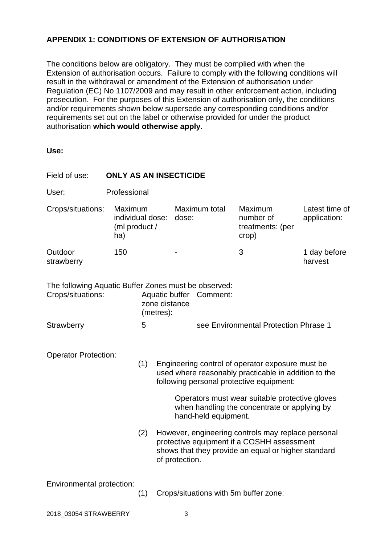## **APPENDIX 1: CONDITIONS OF EXTENSION OF AUTHORISATION**

The conditions below are obligatory. They must be complied with when the Extension of authorisation occurs. Failure to comply with the following conditions will result in the withdrawal or amendment of the Extension of authorisation under Regulation (EC) No 1107/2009 and may result in other enforcement action, including prosecution. For the purposes of this Extension of authorisation only, the conditions and/or requirements shown below supersede any corresponding conditions and/or requirements set out on the label or otherwise provided for under the product authorisation **which would otherwise apply**.

**Use:**

| Field of use:                                                                                                                      | <b>ONLY AS AN INSECTICIDE</b>                       |                                       |                                                                                                                                                                                                                                                                                                                                      |                                       |  |  |                                                                                                   |                                |  |  |
|------------------------------------------------------------------------------------------------------------------------------------|-----------------------------------------------------|---------------------------------------|--------------------------------------------------------------------------------------------------------------------------------------------------------------------------------------------------------------------------------------------------------------------------------------------------------------------------------------|---------------------------------------|--|--|---------------------------------------------------------------------------------------------------|--------------------------------|--|--|
| User:                                                                                                                              | Professional                                        |                                       |                                                                                                                                                                                                                                                                                                                                      |                                       |  |  |                                                                                                   |                                |  |  |
| Crops/situations:                                                                                                                  | Maximum<br>individual dose:<br>(ml product /<br>ha) |                                       |                                                                                                                                                                                                                                                                                                                                      | Maximum total<br>dose:                |  |  | Maximum<br>number of<br>treatments: (per<br>crop)                                                 | Latest time of<br>application: |  |  |
| Outdoor<br>strawberry                                                                                                              | 150                                                 |                                       |                                                                                                                                                                                                                                                                                                                                      |                                       |  |  | 3                                                                                                 | 1 day before<br>harvest        |  |  |
| The following Aquatic Buffer Zones must be observed:<br>Crops/situations:<br>Aquatic buffer Comment:<br>zone distance<br>(metres): |                                                     |                                       |                                                                                                                                                                                                                                                                                                                                      |                                       |  |  |                                                                                                   |                                |  |  |
| Strawberry                                                                                                                         | 5                                                   |                                       |                                                                                                                                                                                                                                                                                                                                      | see Environmental Protection Phrase 1 |  |  |                                                                                                   |                                |  |  |
| <b>Operator Protection:</b><br>(1)<br>(2)                                                                                          |                                                     |                                       | Engineering control of operator exposure must be<br>used where reasonably practicable in addition to the<br>following personal protective equipment:<br>Operators must wear suitable protective gloves<br>when handling the concentrate or applying by<br>hand-held equipment.<br>However, engineering controls may replace personal |                                       |  |  |                                                                                                   |                                |  |  |
|                                                                                                                                    |                                                     |                                       |                                                                                                                                                                                                                                                                                                                                      | of protection.                        |  |  | protective equipment if a COSHH assessment<br>shows that they provide an equal or higher standard |                                |  |  |
| Environmental protection:                                                                                                          | (1)                                                 | Crops/situations with 5m buffer zone: |                                                                                                                                                                                                                                                                                                                                      |                                       |  |  |                                                                                                   |                                |  |  |

2018\_03054 STRAWBERRY 3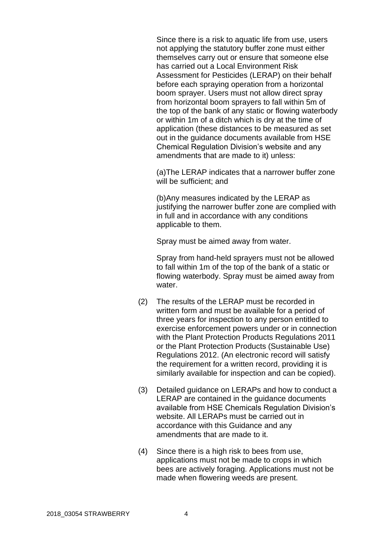Since there is a risk to aquatic life from use, users not applying the statutory buffer zone must either themselves carry out or ensure that someone else has carried out a Local Environment Risk Assessment for Pesticides (LERAP) on their behalf before each spraying operation from a horizontal boom sprayer. Users must not allow direct spray from horizontal boom sprayers to fall within 5m of the top of the bank of any static or flowing waterbody or within 1m of a ditch which is dry at the time of application (these distances to be measured as set out in the guidance documents available from HSE Chemical Regulation Division's website and any amendments that are made to it) unless:

(a)The LERAP indicates that a narrower buffer zone will be sufficient; and

(b)Any measures indicated by the LERAP as justifying the narrower buffer zone are complied with in full and in accordance with any conditions applicable to them.

Spray must be aimed away from water.

Spray from hand-held sprayers must not be allowed to fall within 1m of the top of the bank of a static or flowing waterbody. Spray must be aimed away from water.

- (2) The results of the LERAP must be recorded in written form and must be available for a period of three years for inspection to any person entitled to exercise enforcement powers under or in connection with the Plant Protection Products Regulations 2011 or the Plant Protection Products (Sustainable Use) Regulations 2012. (An electronic record will satisfy the requirement for a written record, providing it is similarly available for inspection and can be copied).
- (3) Detailed guidance on LERAPs and how to conduct a LERAP are contained in the guidance documents available from HSE Chemicals Regulation Division's website. All LERAPs must be carried out in accordance with this Guidance and any amendments that are made to it.
- (4) Since there is a high risk to bees from use, applications must not be made to crops in which bees are actively foraging. Applications must not be made when flowering weeds are present.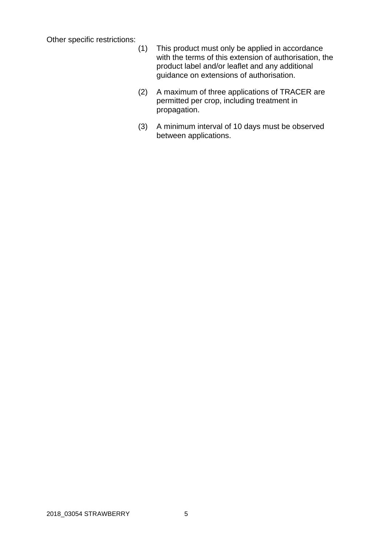Other specific restrictions:

- (1) This product must only be applied in accordance with the terms of this extension of authorisation, the product label and/or leaflet and any additional guidance on extensions of authorisation.
- (2) A maximum of three applications of TRACER are permitted per crop, including treatment in propagation.
- (3) A minimum interval of 10 days must be observed between applications.